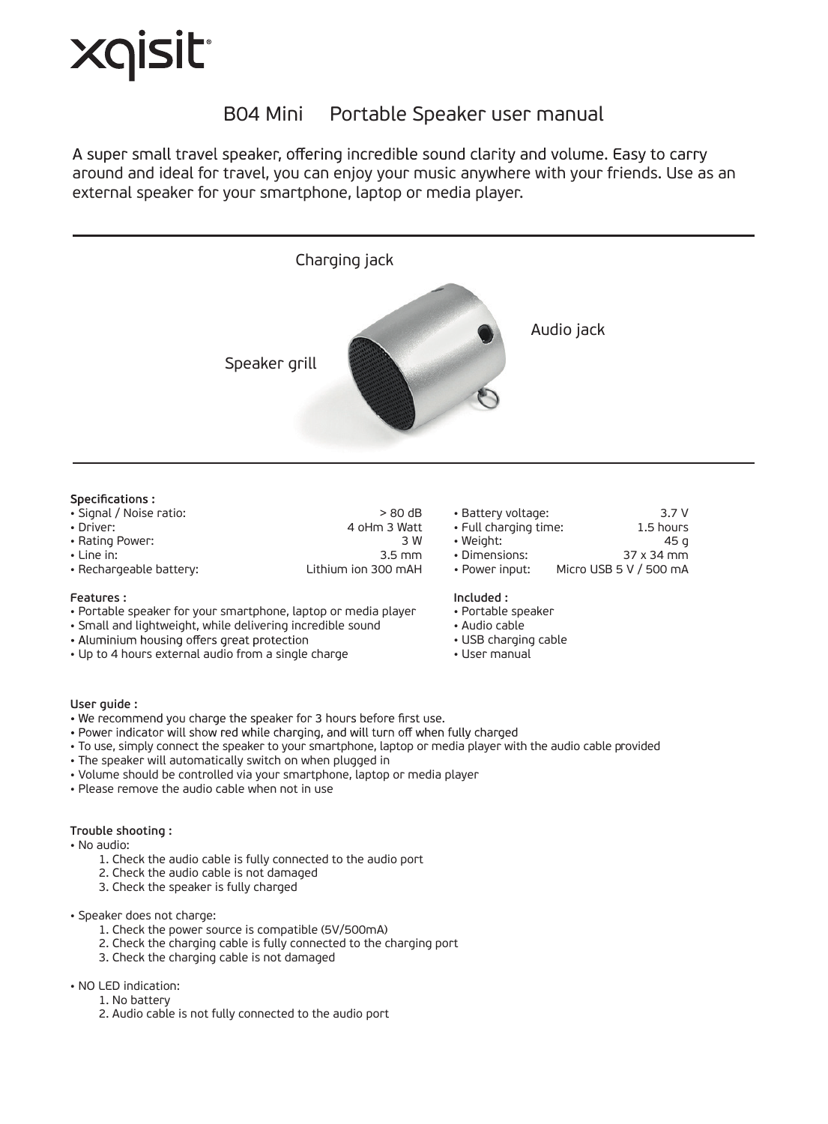# Xqisit<sup>.</sup>

## B04 Mini Portable Speaker user manual

A super small travel speaker, offering incredible sound clarity and volume. Easy to carry around and ideal for travel, you can enjoy your music anywhere with your friends. Use as an external speaker for your smartphone, laptop or media player.



#### Specifications:

| $\mathbf{D}$ - $\mathbf{L}$ |       |
|-----------------------------|-------|
| • Signal / Noise ratio:     | >80dB |

- 
- 
- 
- Rechargeable battery:
- Driver: 4 oHm 3 Watt • Rating Power: 3 W • Line in: 3.5 mm

#### **Features :**

- Portable speaker for your smartphone, laptop or media player
- Small and lightweight, while delivering incredible sound<br>• Aluminium housing offers great protection
- 
- Up to 4 hours external audio from a single charge

| • Battery voltage:    | 3.7V       |
|-----------------------|------------|
| • Full charging time: | 1.5 hours  |
| • Weight:             | 45 q       |
| • Dimensions:         | 37 x 34 mm |

- 
- Dimensions:<br>• Power input: Micro USB 5 V / 500 mA
- 

#### **Included :**

- Portable speaker
- Audio cable
- USB charging cable
- User manual

- **User guide :**
- . Power indicator will show red while charging, and will turn off when fully charged
- To use, simply connect the speaker to your smartphone, laptop or media player with the audio cable provided
- The speaker will automatically switch on when plugged in
- Volume should be controlled via your smartphone, laptop or media player
- Please remove the audio cable when not in use

#### **Trouble shooting :**

- No audio:
	- 1. Check the audio cable is fully connected to the audio port
	- 2. Check the audio cable is not damaged
	- 3. Check the speaker is fully charged

#### • Speaker does not charge:

- 1. Check the power source is compatible (5V/500mA)
- 2. Check the charging cable is fully connected to the charging port
- 3. Check the charging cable is not damaged

#### • NO LED indication:

- 1. No battery
	- 2. Audio cable is not fully connected to the audio port